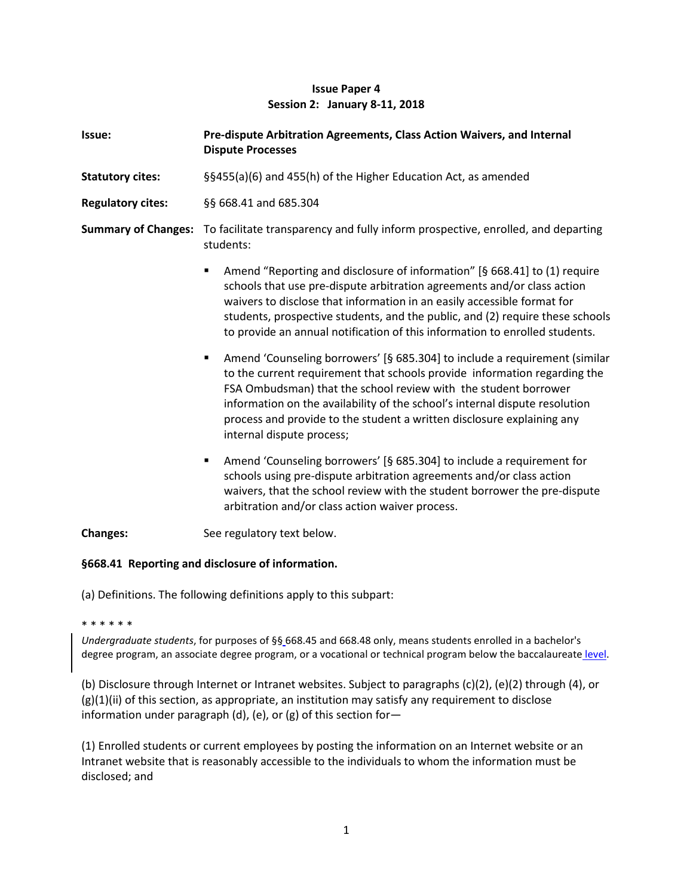# **Issue Paper 4 Session 2: January 8-11, 2018**

| Issue:                     | Pre-dispute Arbitration Agreements, Class Action Waivers, and Internal<br><b>Dispute Processes</b>                                                                                                                                                                                                                                                                                                                    |
|----------------------------|-----------------------------------------------------------------------------------------------------------------------------------------------------------------------------------------------------------------------------------------------------------------------------------------------------------------------------------------------------------------------------------------------------------------------|
| <b>Statutory cites:</b>    | §§455(a)(6) and 455(h) of the Higher Education Act, as amended                                                                                                                                                                                                                                                                                                                                                        |
| <b>Regulatory cites:</b>   | §§ 668.41 and 685.304                                                                                                                                                                                                                                                                                                                                                                                                 |
| <b>Summary of Changes:</b> | To facilitate transparency and fully inform prospective, enrolled, and departing<br>students:                                                                                                                                                                                                                                                                                                                         |
|                            | Amend "Reporting and disclosure of information" [§ 668.41] to (1) require<br>Ξ<br>schools that use pre-dispute arbitration agreements and/or class action<br>waivers to disclose that information in an easily accessible format for<br>students, prospective students, and the public, and (2) require these schools<br>to provide an annual notification of this information to enrolled students.                  |
|                            | Amend 'Counseling borrowers' [§ 685.304] to include a requirement (similar<br>٠<br>to the current requirement that schools provide information regarding the<br>FSA Ombudsman) that the school review with the student borrower<br>information on the availability of the school's internal dispute resolution<br>process and provide to the student a written disclosure explaining any<br>internal dispute process; |
|                            | Amend 'Counseling borrowers' [§ 685.304] to include a requirement for<br>٠<br>schools using pre-dispute arbitration agreements and/or class action<br>waivers, that the school review with the student borrower the pre-dispute<br>arbitration and/or class action waiver process.                                                                                                                                    |
| <b>Changes:</b>            | See regulatory text below.                                                                                                                                                                                                                                                                                                                                                                                            |

### **§668.41 Reporting and disclosure of information.**

(a) Definitions. The following definitions apply to this subpart:

\* \* \* \* \* \*

*Undergraduate students*, for purposes of §§ 668.45 and 668.48 only, means students enrolled in a bachelor's degree program, an associate degree program, or a vocational or technical program below the baccalaureate level.

(b) Disclosure through Internet or Intranet websites. Subject to paragraphs (c)(2), (e)(2) through (4), or  $(g)(1)(ii)$  of this section, as appropriate, an institution may satisfy any requirement to disclose information under paragraph (d), (e), or (g) of this section for—

(1) Enrolled students or current employees by posting the information on an Internet website or an Intranet website that is reasonably accessible to the individuals to whom the information must be disclosed; and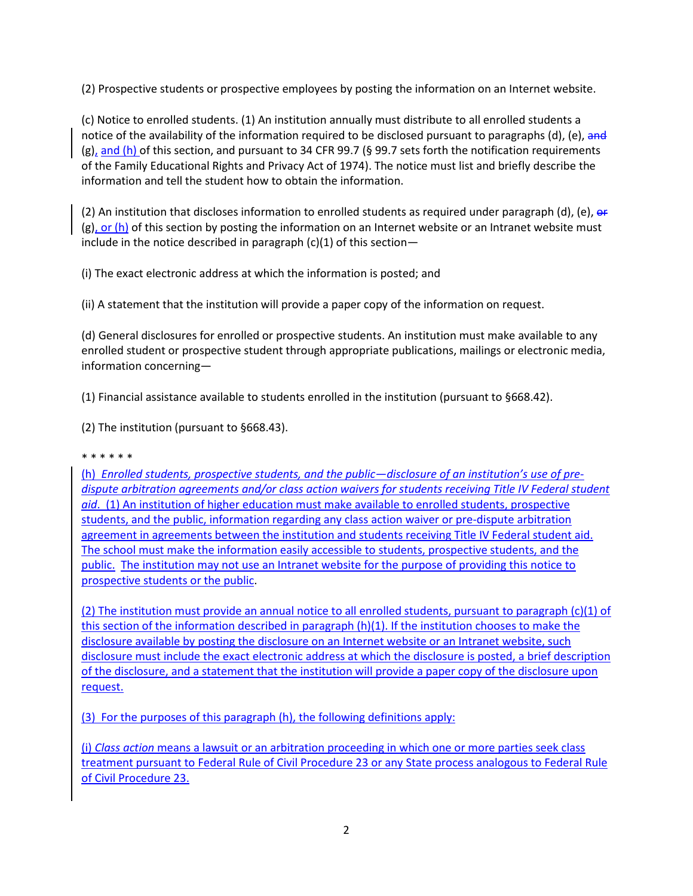(2) Prospective students or prospective employees by posting the information on an Internet website.

(c) Notice to enrolled students. (1) An institution annually must distribute to all enrolled students a notice of the availability of the information required to be disclosed pursuant to paragraphs (d), (e), and (g), and (h) of this section, and pursuant to 34 CFR 99.7 (§ 99.7 sets forth the notification requirements of the Family Educational Rights and Privacy Act of 1974). The notice must list and briefly describe the information and tell the student how to obtain the information.

(2) An institution that discloses information to enrolled students as required under paragraph (d), (e), or  $(g)$ , or (h) of this section by posting the information on an Internet website or an Intranet website must include in the notice described in paragraph  $(c)(1)$  of this section-

(i) The exact electronic address at which the information is posted; and

(ii) A statement that the institution will provide a paper copy of the information on request.

(d) General disclosures for enrolled or prospective students. An institution must make available to any enrolled student or prospective student through appropriate publications, mailings or electronic media, information concerning—

(1) Financial assistance available to students enrolled in the institution (pursuant to §668.42).

(2) The institution (pursuant to §668.43).

### \* \* \* \* \* \*

(h) *Enrolled students, prospective students, and the public—disclosure of an institution's use of predispute arbitration agreements and/or class action waivers for students receiving Title IV Federal student aid*. (1) An institution of higher education must make available to enrolled students, prospective students, and the public, information regarding any class action waiver or pre-dispute arbitration agreement in agreements between the institution and students receiving Title IV Federal student aid. The school must make the information easily accessible to students, prospective students, and the public. The institution may not use an Intranet website for the purpose of providing this notice to prospective students or the public.

(2) The institution must provide an annual notice to all enrolled students, pursuant to paragraph (c)(1) of this section of the information described in paragraph (h)(1). If the institution chooses to make the disclosure available by posting the disclosure on an Internet website or an Intranet website, such disclosure must include the exact electronic address at which the disclosure is posted, a brief description of the disclosure, and a statement that the institution will provide a paper copy of the disclosure upon request.

(3) For the purposes of this paragraph (h), the following definitions apply:

(i) *Class action* means a lawsuit or an arbitration proceeding in which one or more parties seek class treatment pursuant to Federal Rule of Civil Procedure 23 or any State process analogous to Federal Rule of Civil Procedure 23.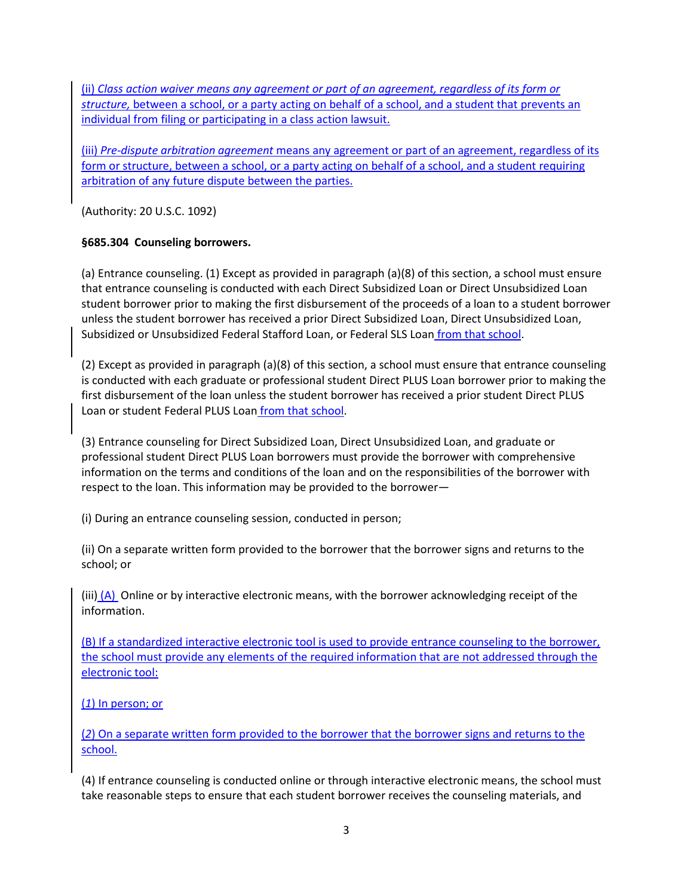(ii) *Class action waiver means any agreement or part of an agreement, regardless of its form or structure,* between a school, or a party acting on behalf of a school, and a student that prevents an individual from filing or participating in a class action lawsuit.

(iii) *Pre-dispute arbitration agreement* means any agreement or part of an agreement, regardless of its form or structure, between a school, or a party acting on behalf of a school, and a student requiring arbitration of any future dispute between the parties.

(Authority: 20 U.S.C. 1092)

# **§685.304 Counseling borrowers.**

(a) Entrance counseling. (1) Except as provided in paragraph (a)(8) of this section, a school must ensure that entrance counseling is conducted with each Direct Subsidized Loan or Direct Unsubsidized Loan student borrower prior to making the first disbursement of the proceeds of a loan to a student borrower unless the student borrower has received a prior Direct Subsidized Loan, Direct Unsubsidized Loan, Subsidized or Unsubsidized Federal Stafford Loan, or Federal SLS Loan *from that school*.

(2) Except as provided in paragraph (a)(8) of this section, a school must ensure that entrance counseling is conducted with each graduate or professional student Direct PLUS Loan borrower prior to making the first disbursement of the loan unless the student borrower has received a prior student Direct PLUS Loan or student Federal PLUS Loan from that school.

(3) Entrance counseling for Direct Subsidized Loan, Direct Unsubsidized Loan, and graduate or professional student Direct PLUS Loan borrowers must provide the borrower with comprehensive information on the terms and conditions of the loan and on the responsibilities of the borrower with respect to the loan. This information may be provided to the borrower—

(i) During an entrance counseling session, conducted in person;

(ii) On a separate written form provided to the borrower that the borrower signs and returns to the school; or

(iii)  $(A)$  Online or by interactive electronic means, with the borrower acknowledging receipt of the information.

(B) If a standardized interactive electronic tool is used to provide entrance counseling to the borrower, the school must provide any elements of the required information that are not addressed through the electronic tool:

(*1*) In person; or

(*2*) On a separate written form provided to the borrower that the borrower signs and returns to the school.

(4) If entrance counseling is conducted online or through interactive electronic means, the school must take reasonable steps to ensure that each student borrower receives the counseling materials, and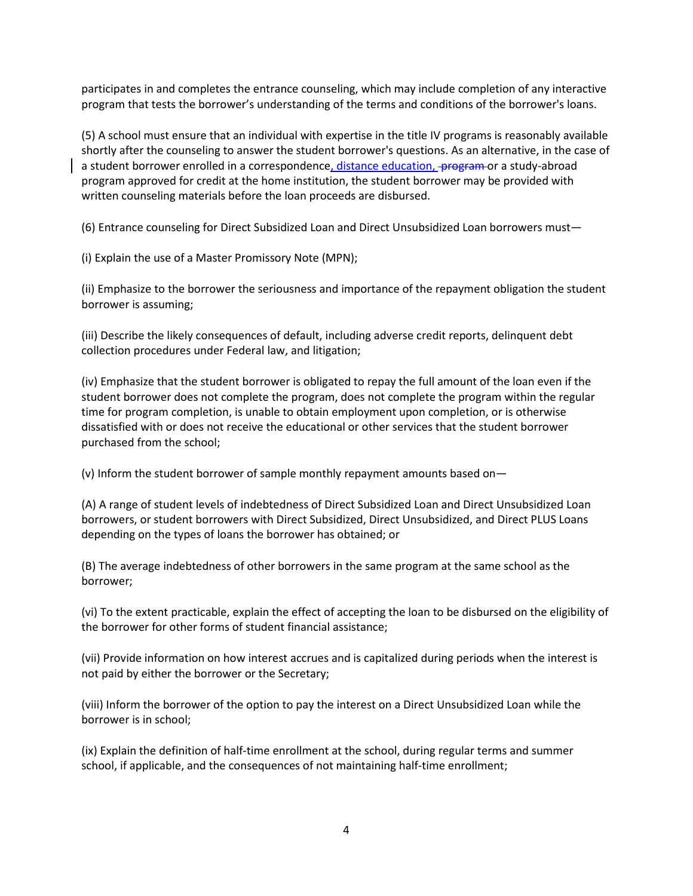participates in and completes the entrance counseling, which may include completion of any interactive program that tests the borrower's understanding of the terms and conditions of the borrower's loans.

(5) A school must ensure that an individual with expertise in the title IV programs is reasonably available shortly after the counseling to answer the student borrower's questions. As an alternative, in the case of a student borrower enrolled in a correspondence, distance education, program or a study-abroad program approved for credit at the home institution, the student borrower may be provided with written counseling materials before the loan proceeds are disbursed.

(6) Entrance counseling for Direct Subsidized Loan and Direct Unsubsidized Loan borrowers must—

(i) Explain the use of a Master Promissory Note (MPN);

(ii) Emphasize to the borrower the seriousness and importance of the repayment obligation the student borrower is assuming;

(iii) Describe the likely consequences of default, including adverse credit reports, delinquent debt collection procedures under Federal law, and litigation;

(iv) Emphasize that the student borrower is obligated to repay the full amount of the loan even if the student borrower does not complete the program, does not complete the program within the regular time for program completion, is unable to obtain employment upon completion, or is otherwise dissatisfied with or does not receive the educational or other services that the student borrower purchased from the school;

(v) Inform the student borrower of sample monthly repayment amounts based on—

(A) A range of student levels of indebtedness of Direct Subsidized Loan and Direct Unsubsidized Loan borrowers, or student borrowers with Direct Subsidized, Direct Unsubsidized, and Direct PLUS Loans depending on the types of loans the borrower has obtained; or

(B) The average indebtedness of other borrowers in the same program at the same school as the borrower;

(vi) To the extent practicable, explain the effect of accepting the loan to be disbursed on the eligibility of the borrower for other forms of student financial assistance;

(vii) Provide information on how interest accrues and is capitalized during periods when the interest is not paid by either the borrower or the Secretary;

(viii) Inform the borrower of the option to pay the interest on a Direct Unsubsidized Loan while the borrower is in school;

(ix) Explain the definition of half-time enrollment at the school, during regular terms and summer school, if applicable, and the consequences of not maintaining half-time enrollment;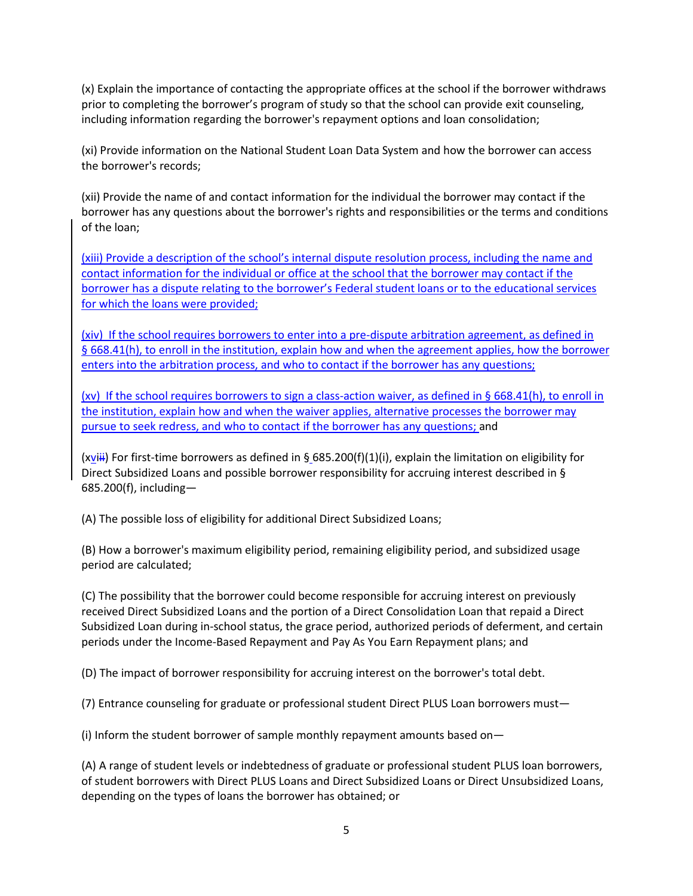(x) Explain the importance of contacting the appropriate offices at the school if the borrower withdraws prior to completing the borrower's program of study so that the school can provide exit counseling, including information regarding the borrower's repayment options and loan consolidation;

(xi) Provide information on the National Student Loan Data System and how the borrower can access the borrower's records;

(xii) Provide the name of and contact information for the individual the borrower may contact if the borrower has any questions about the borrower's rights and responsibilities or the terms and conditions of the loan;

(xiii) Provide a description of the school's internal dispute resolution process, including the name and contact information for the individual or office at the school that the borrower may contact if the borrower has a dispute relating to the borrower's Federal student loans or to the educational services for which the loans were provided;

(xiv) If the school requires borrowers to enter into a pre-dispute arbitration agreement, as defined in § 668.41(h), to enroll in the institution, explain how and when the agreement applies, how the borrower enters into the arbitration process, and who to contact if the borrower has any questions;

(xv) If the school requires borrowers to sign a class-action waiver, as defined in § 668.41(h), to enroll in the institution, explain how and when the waiver applies, alternative processes the borrower may pursue to seek redress, and who to contact if the borrower has any questions; and

(xviii) For first-time borrowers as defined in § 685.200(f)(1)(i), explain the limitation on eligibility for Direct Subsidized Loans and possible borrower responsibility for accruing interest described in § 685.200(f), including—

(A) The possible loss of eligibility for additional Direct Subsidized Loans;

(B) How a borrower's maximum eligibility period, remaining eligibility period, and subsidized usage period are calculated;

(C) The possibility that the borrower could become responsible for accruing interest on previously received Direct Subsidized Loans and the portion of a Direct Consolidation Loan that repaid a Direct Subsidized Loan during in-school status, the grace period, authorized periods of deferment, and certain periods under the Income-Based Repayment and Pay As You Earn Repayment plans; and

(D) The impact of borrower responsibility for accruing interest on the borrower's total debt.

(7) Entrance counseling for graduate or professional student Direct PLUS Loan borrowers must—

(i) Inform the student borrower of sample monthly repayment amounts based on—

(A) A range of student levels or indebtedness of graduate or professional student PLUS loan borrowers, of student borrowers with Direct PLUS Loans and Direct Subsidized Loans or Direct Unsubsidized Loans, depending on the types of loans the borrower has obtained; or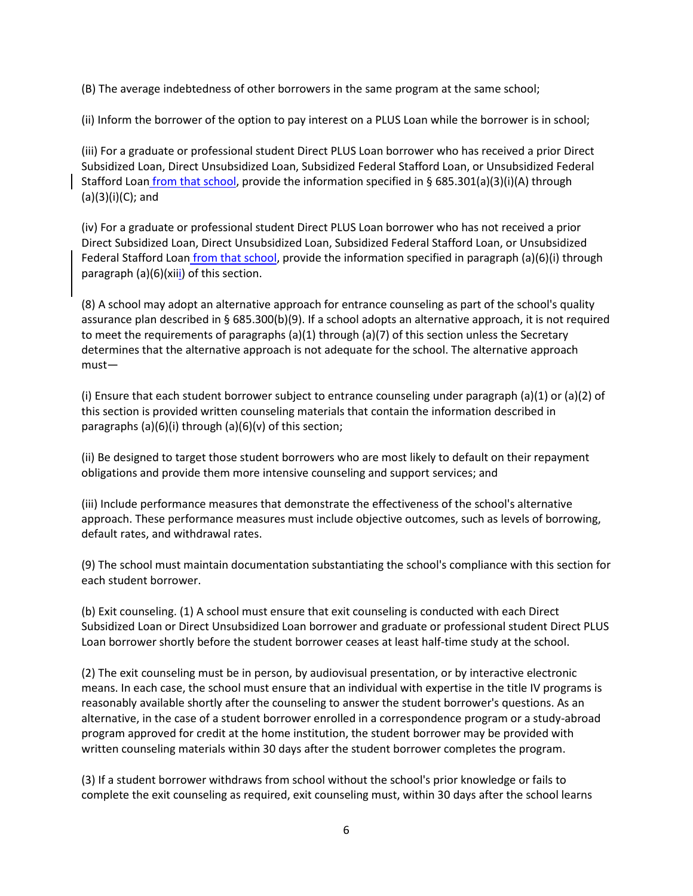(B) The average indebtedness of other borrowers in the same program at the same school;

(ii) Inform the borrower of the option to pay interest on a PLUS Loan while the borrower is in school;

(iii) For a graduate or professional student Direct PLUS Loan borrower who has received a prior Direct Subsidized Loan, Direct Unsubsidized Loan, Subsidized Federal Stafford Loan, or Unsubsidized Federal Stafford Loan from that school, provide the information specified in § 685.301(a)(3)(i)(A) through (a)(3)(i)(C); and

(iv) For a graduate or professional student Direct PLUS Loan borrower who has not received a prior Direct Subsidized Loan, Direct Unsubsidized Loan, Subsidized Federal Stafford Loan, or Unsubsidized Federal Stafford Loan from that school, provide the information specified in paragraph (a)(6)(i) through paragraph (a)(6)(xiii) of this section.

(8) A school may adopt an alternative approach for entrance counseling as part of the school's quality assurance plan described in § 685.300(b)(9). If a school adopts an alternative approach, it is not required to meet the requirements of paragraphs (a)(1) through (a)(7) of this section unless the Secretary determines that the alternative approach is not adequate for the school. The alternative approach must—

(i) Ensure that each student borrower subject to entrance counseling under paragraph (a)(1) or (a)(2) of this section is provided written counseling materials that contain the information described in paragraphs (a)(6)(i) through (a)(6)(v) of this section;

(ii) Be designed to target those student borrowers who are most likely to default on their repayment obligations and provide them more intensive counseling and support services; and

(iii) Include performance measures that demonstrate the effectiveness of the school's alternative approach. These performance measures must include objective outcomes, such as levels of borrowing, default rates, and withdrawal rates.

(9) The school must maintain documentation substantiating the school's compliance with this section for each student borrower.

(b) Exit counseling. (1) A school must ensure that exit counseling is conducted with each Direct Subsidized Loan or Direct Unsubsidized Loan borrower and graduate or professional student Direct PLUS Loan borrower shortly before the student borrower ceases at least half-time study at the school.

(2) The exit counseling must be in person, by audiovisual presentation, or by interactive electronic means. In each case, the school must ensure that an individual with expertise in the title IV programs is reasonably available shortly after the counseling to answer the student borrower's questions. As an alternative, in the case of a student borrower enrolled in a correspondence program or a study-abroad program approved for credit at the home institution, the student borrower may be provided with written counseling materials within 30 days after the student borrower completes the program.

(3) If a student borrower withdraws from school without the school's prior knowledge or fails to complete the exit counseling as required, exit counseling must, within 30 days after the school learns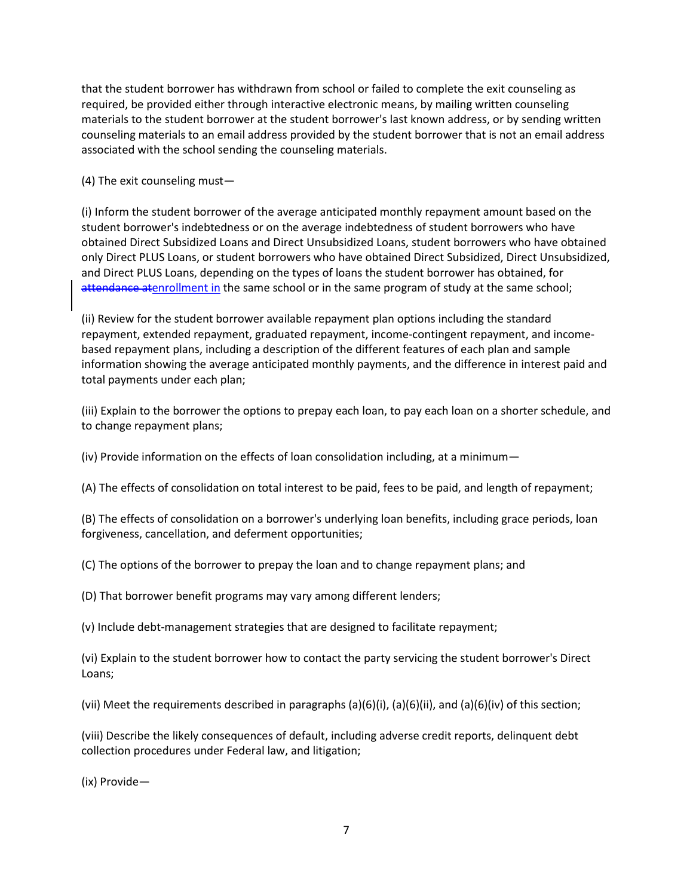that the student borrower has withdrawn from school or failed to complete the exit counseling as required, be provided either through interactive electronic means, by mailing written counseling materials to the student borrower at the student borrower's last known address, or by sending written counseling materials to an email address provided by the student borrower that is not an email address associated with the school sending the counseling materials.

(4) The exit counseling must—

(i) Inform the student borrower of the average anticipated monthly repayment amount based on the student borrower's indebtedness or on the average indebtedness of student borrowers who have obtained Direct Subsidized Loans and Direct Unsubsidized Loans, student borrowers who have obtained only Direct PLUS Loans, or student borrowers who have obtained Direct Subsidized, Direct Unsubsidized, and Direct PLUS Loans, depending on the types of loans the student borrower has obtained, for attendance atenrollment in the same school or in the same program of study at the same school;

(ii) Review for the student borrower available repayment plan options including the standard repayment, extended repayment, graduated repayment, income-contingent repayment, and incomebased repayment plans, including a description of the different features of each plan and sample information showing the average anticipated monthly payments, and the difference in interest paid and total payments under each plan;

(iii) Explain to the borrower the options to prepay each loan, to pay each loan on a shorter schedule, and to change repayment plans;

(iv) Provide information on the effects of loan consolidation including, at a minimum—

(A) The effects of consolidation on total interest to be paid, fees to be paid, and length of repayment;

(B) The effects of consolidation on a borrower's underlying loan benefits, including grace periods, loan forgiveness, cancellation, and deferment opportunities;

(C) The options of the borrower to prepay the loan and to change repayment plans; and

(D) That borrower benefit programs may vary among different lenders;

(v) Include debt-management strategies that are designed to facilitate repayment;

(vi) Explain to the student borrower how to contact the party servicing the student borrower's Direct Loans;

(vii) Meet the requirements described in paragraphs (a)(6)(i), (a)(6)(ii), and (a)(6)(iv) of this section;

(viii) Describe the likely consequences of default, including adverse credit reports, delinquent debt collection procedures under Federal law, and litigation;

(ix) Provide—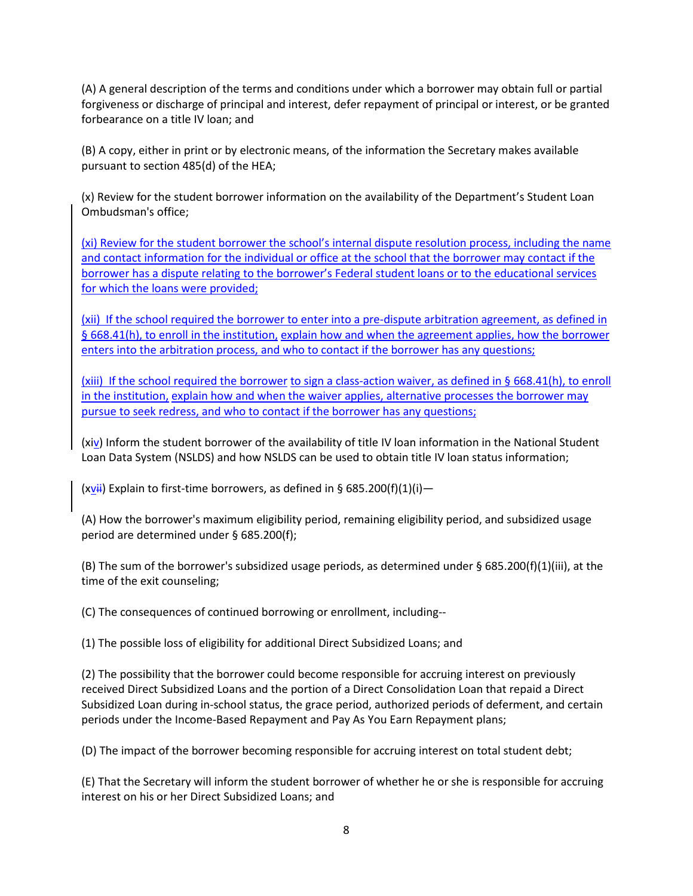(A) A general description of the terms and conditions under which a borrower may obtain full or partial forgiveness or discharge of principal and interest, defer repayment of principal or interest, or be granted forbearance on a title IV loan; and

(B) A copy, either in print or by electronic means, of the information the Secretary makes available pursuant to section 485(d) of the HEA;

(x) Review for the student borrower information on the availability of the Department's Student Loan Ombudsman's office;

(xi) Review for the student borrower the school's internal dispute resolution process, including the name and contact information for the individual or office at the school that the borrower may contact if the borrower has a dispute relating to the borrower's Federal student loans or to the educational services for which the loans were provided;

(xii) If the school required the borrower to enter into a pre-dispute arbitration agreement, as defined in § 668.41(h), to enroll in the institution, explain how and when the agreement applies, how the borrower enters into the arbitration process, and who to contact if the borrower has any questions;

(xiii) If the school required the borrower to sign a class-action waiver, as defined in § 668.41(h), to enroll in the institution, explain how and when the waiver applies, alternative processes the borrower may pursue to seek redress, and who to contact if the borrower has any questions;

(xiv) Inform the student borrower of the availability of title IV loan information in the National Student Loan Data System (NSLDS) and how NSLDS can be used to obtain title IV loan status information;

 $(xyii)$  Explain to first-time borrowers, as defined in § 685.200(f)(1)(i) —

(A) How the borrower's maximum eligibility period, remaining eligibility period, and subsidized usage period are determined under § 685.200(f);

(B) The sum of the borrower's subsidized usage periods, as determined under § 685.200(f)(1)(iii), at the time of the exit counseling;

(C) The consequences of continued borrowing or enrollment, including--

(1) The possible loss of eligibility for additional Direct Subsidized Loans; and

(2) The possibility that the borrower could become responsible for accruing interest on previously received Direct Subsidized Loans and the portion of a Direct Consolidation Loan that repaid a Direct Subsidized Loan during in-school status, the grace period, authorized periods of deferment, and certain periods under the Income-Based Repayment and Pay As You Earn Repayment plans;

(D) The impact of the borrower becoming responsible for accruing interest on total student debt;

(E) That the Secretary will inform the student borrower of whether he or she is responsible for accruing interest on his or her Direct Subsidized Loans; and